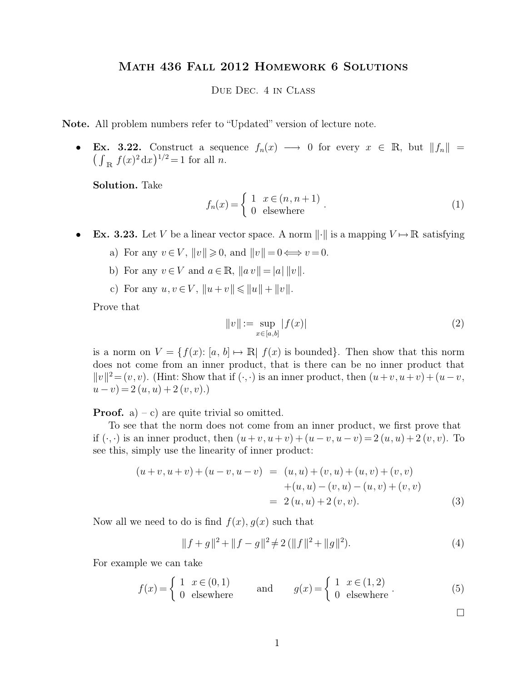## Math 436 Fall 2012 Homework 6 Solutions

## Due Dec. 4 in Class

**Note.** All problem numbers refer to "Updated" version of lecture note.

**Ex. 3.22.** Construct a sequence  $f_n(x) \longrightarrow 0$  for every  $x \in \mathbb{R}$ , but  $||f_n|| =$  $f(x)^2 dx$ <sup>1/2</sup> = 1 for all *n*.

**Solution.** Take

$$
f_n(x) = \begin{cases} 1 & x \in (n, n+1) \\ 0 & \text{elsewhere} \end{cases} .
$$
 (1)

- **Ex. 3.23.** Let V be a linear vector space. A norm  $\|\cdot\|$  is a mapping  $V \mapsto \mathbb{R}$  satisfying
	- a) For any  $v \in V$ ,  $||v|| \ge 0$ , and  $||v|| = 0 \Longleftrightarrow v = 0$ .
	- b) For any  $v \in V$  and  $a \in \mathbb{R}$ ,  $||a v|| = |a| ||v||$ .
	- c) For any  $u, v \in V$ ,  $||u + v|| \le ||u|| + ||v||$ .

Prove that

$$
||v|| := \sup_{x \in [a,b]} |f(x)| \tag{2}
$$

is a norm on  $V = \{f(x): [a, b] \mapsto \mathbb{R} \mid f(x)$  is bounded. Then show that this norm does not come from an inner product, that is there can be no inner product that  $||v||^2 = (v, v)$ . (Hint: Show that if  $(\cdot, \cdot)$  is an inner product, then  $(u+v, u+v) + (u-v, v)$  $(u - v) = 2(u, u) + 2(v, v).$ 

**Proof.** a) – c) are quite trivial so omitted.

To see that the norm does not come from an inner product, we first prove that if  $(\cdot, \cdot)$  is an inner product, then  $(u+v, u+v) + (u-v, u-v) = 2(u, u) + 2(v, v)$ . To see this, simply use the linearity of inner product:

$$
(u+v, u+v) + (u-v, u-v) = (u, u) + (v, u) + (u, v) + (v, v) + (u, u) - (v, u) - (u, v) + (v, v) = 2 (u, u) + 2 (v, v).
$$
 (3)

Now all we need to do is find  $f(x)$ ,  $q(x)$  such that

$$
||f+g||^2 + ||f-g||^2 \neq 2(||f||^2 + ||g||^2).
$$
 (4)

For example we can take

$$
f(x) = \begin{cases} 1 & x \in (0,1) \\ 0 & \text{elsewhere} \end{cases} \quad \text{and} \quad g(x) = \begin{cases} 1 & x \in (1,2) \\ 0 & \text{elsewhere} \end{cases} . \tag{5}
$$

 $\Box$